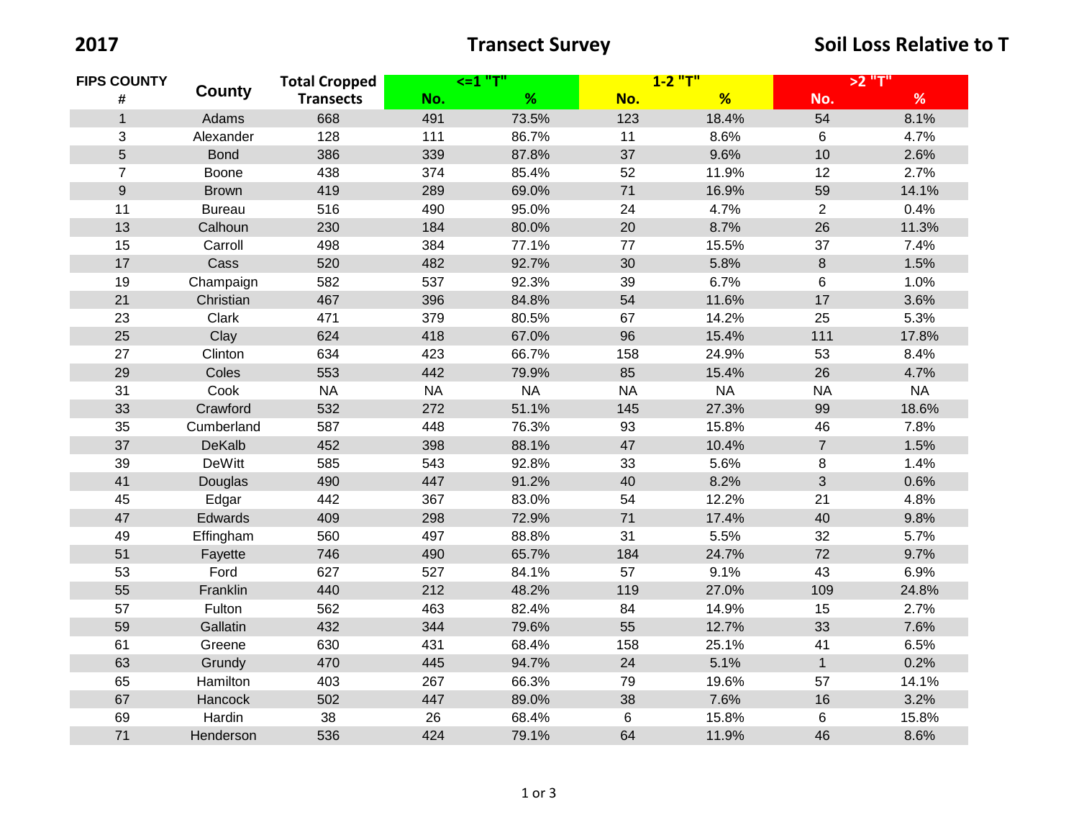| <b>FIPS COUNTY</b> |               | <b>Total Cropped</b> | <=1 "T"   |          | 1-2 "T"   |          | >2 "T"         |           |
|--------------------|---------------|----------------------|-----------|----------|-----------|----------|----------------|-----------|
| #                  | <b>County</b> | <b>Transects</b>     | No.       | %        | No.       | %        | No.            | $\%$      |
| $\mathbf{1}$       | Adams         | 668                  | 491       | 73.5%    | 123       | 18.4%    | 54             | 8.1%      |
| 3                  | Alexander     | 128                  | 111       | 86.7%    | 11        | 8.6%     | 6              | 4.7%      |
| 5                  | <b>Bond</b>   | 386                  | 339       | 87.8%    | 37        | 9.6%     | 10             | 2.6%      |
| $\overline{7}$     | Boone         | 438                  | 374       | 85.4%    | 52        | 11.9%    | 12             | 2.7%      |
| 9                  | <b>Brown</b>  | 419                  | 289       | 69.0%    | 71        | 16.9%    | 59             | 14.1%     |
| 11                 | <b>Bureau</b> | 516                  | 490       | 95.0%    | 24        | 4.7%     | $\overline{2}$ | 0.4%      |
| 13                 | Calhoun       | 230                  | 184       | 80.0%    | 20        | 8.7%     | 26             | 11.3%     |
| 15                 | Carroll       | 498                  | 384       | 77.1%    | 77        | 15.5%    | 37             | 7.4%      |
| 17                 | Cass          | 520                  | 482       | 92.7%    | 30        | 5.8%     | $\bf 8$        | 1.5%      |
| 19                 | Champaign     | 582                  | 537       | 92.3%    | 39        | 6.7%     | 6              | 1.0%      |
| 21                 | Christian     | 467                  | 396       | 84.8%    | 54        | 11.6%    | 17             | 3.6%      |
| 23                 | Clark         | 471                  | 379       | 80.5%    | 67        | 14.2%    | 25             | 5.3%      |
| 25                 | Clay          | 624                  | 418       | 67.0%    | 96        | 15.4%    | 111            | 17.8%     |
| 27                 | Clinton       | 634                  | 423       | 66.7%    | 158       | 24.9%    | 53             | 8.4%      |
| 29                 | Coles         | 553                  | 442       | 79.9%    | 85        | 15.4%    | 26             | 4.7%      |
| 31                 | Cook          | <b>NA</b>            | <b>NA</b> | $\sf NA$ | <b>NA</b> | $\sf NA$ | <b>NA</b>      | <b>NA</b> |
| 33                 | Crawford      | 532                  | 272       | 51.1%    | 145       | 27.3%    | 99             | 18.6%     |
| 35                 | Cumberland    | 587                  | 448       | 76.3%    | 93        | 15.8%    | 46             | 7.8%      |
| 37                 | DeKalb        | 452                  | 398       | 88.1%    | 47        | 10.4%    | $\overline{7}$ | 1.5%      |
| 39                 | <b>DeWitt</b> | 585                  | 543       | 92.8%    | 33        | 5.6%     | 8              | 1.4%      |
| 41                 | Douglas       | 490                  | 447       | 91.2%    | 40        | 8.2%     | $\mathfrak{S}$ | 0.6%      |
| 45                 | Edgar         | 442                  | 367       | 83.0%    | 54        | 12.2%    | 21             | 4.8%      |
| 47                 | Edwards       | 409                  | 298       | 72.9%    | 71        | 17.4%    | 40             | 9.8%      |
| 49                 | Effingham     | 560                  | 497       | 88.8%    | 31        | 5.5%     | 32             | 5.7%      |
| 51                 | Fayette       | 746                  | 490       | 65.7%    | 184       | 24.7%    | 72             | 9.7%      |
| 53                 | Ford          | 627                  | 527       | 84.1%    | 57        | 9.1%     | 43             | 6.9%      |
| 55                 | Franklin      | 440                  | 212       | 48.2%    | 119       | 27.0%    | 109            | 24.8%     |
| 57                 | Fulton        | 562                  | 463       | 82.4%    | 84        | 14.9%    | 15             | 2.7%      |
| 59                 | Gallatin      | 432                  | 344       | 79.6%    | 55        | 12.7%    | 33             | 7.6%      |
| 61                 | Greene        | 630                  | 431       | 68.4%    | 158       | 25.1%    | 41             | 6.5%      |
| 63                 | Grundy        | 470                  | 445       | 94.7%    | 24        | 5.1%     | $\mathbf{1}$   | 0.2%      |
| 65                 | Hamilton      | 403                  | 267       | 66.3%    | 79        | 19.6%    | 57             | 14.1%     |
| 67                 | Hancock       | 502                  | 447       | 89.0%    | 38        | 7.6%     | 16             | 3.2%      |
| 69                 | Hardin        | 38                   | 26        | 68.4%    | 6         | 15.8%    | 6              | 15.8%     |
| 71                 | Henderson     | 536                  | 424       | 79.1%    | 64        | 11.9%    | 46             | 8.6%      |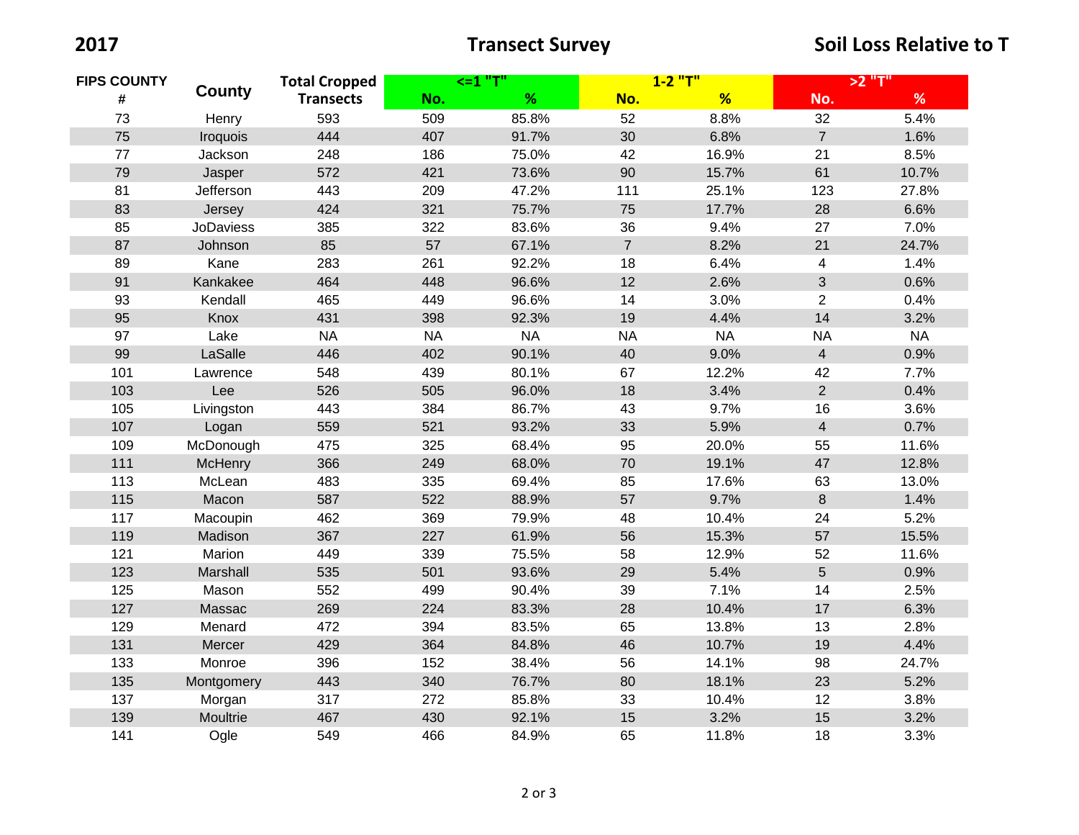| <b>FIPS COUNTY</b><br># | <b>County</b>    | <b>Total Cropped</b> | $<=1$ "T" |           | $1 - 2$ "T"    |           | >2 "T"         |           |
|-------------------------|------------------|----------------------|-----------|-----------|----------------|-----------|----------------|-----------|
|                         |                  | <b>Transects</b>     | No.       | %         | No.            | %         | No.            | %         |
| 73                      | Henry            | 593                  | 509       | 85.8%     | 52             | 8.8%      | 32             | 5.4%      |
| 75                      | <b>Iroquois</b>  | 444                  | 407       | 91.7%     | 30             | 6.8%      | $\overline{7}$ | 1.6%      |
| 77                      | Jackson          | 248                  | 186       | 75.0%     | 42             | 16.9%     | 21             | 8.5%      |
| 79                      | Jasper           | 572                  | 421       | 73.6%     | 90             | 15.7%     | 61             | 10.7%     |
| 81                      | Jefferson        | 443                  | 209       | 47.2%     | 111            | 25.1%     | 123            | 27.8%     |
| 83                      | Jersey           | 424                  | 321       | 75.7%     | 75             | 17.7%     | 28             | 6.6%      |
| 85                      | <b>JoDaviess</b> | 385                  | 322       | 83.6%     | 36             | 9.4%      | 27             | 7.0%      |
| 87                      | Johnson          | 85                   | 57        | 67.1%     | $\overline{7}$ | 8.2%      | 21             | 24.7%     |
| 89                      | Kane             | 283                  | 261       | 92.2%     | 18             | 6.4%      | 4              | 1.4%      |
| 91                      | Kankakee         | 464                  | 448       | 96.6%     | 12             | 2.6%      | $\mathfrak{S}$ | 0.6%      |
| 93                      | Kendall          | 465                  | 449       | 96.6%     | 14             | 3.0%      | $\overline{2}$ | 0.4%      |
| 95                      | Knox             | 431                  | 398       | 92.3%     | 19             | 4.4%      | 14             | 3.2%      |
| 97                      | Lake             | <b>NA</b>            | <b>NA</b> | <b>NA</b> | <b>NA</b>      | <b>NA</b> | <b>NA</b>      | <b>NA</b> |
| 99                      | LaSalle          | 446                  | 402       | 90.1%     | 40             | 9.0%      | $\overline{4}$ | 0.9%      |
| 101                     | Lawrence         | 548                  | 439       | 80.1%     | 67             | 12.2%     | 42             | 7.7%      |
| 103                     | Lee              | 526                  | 505       | 96.0%     | 18             | 3.4%      | $\overline{2}$ | 0.4%      |
| 105                     | Livingston       | 443                  | 384       | 86.7%     | 43             | 9.7%      | 16             | 3.6%      |
| 107                     | Logan            | 559                  | 521       | 93.2%     | 33             | 5.9%      | $\overline{4}$ | 0.7%      |
| 109                     | McDonough        | 475                  | 325       | 68.4%     | 95             | 20.0%     | 55             | 11.6%     |
| 111                     | McHenry          | 366                  | 249       | 68.0%     | 70             | 19.1%     | 47             | 12.8%     |
| 113                     | McLean           | 483                  | 335       | 69.4%     | 85             | 17.6%     | 63             | 13.0%     |
| 115                     | Macon            | 587                  | 522       | 88.9%     | 57             | 9.7%      | 8              | 1.4%      |
| 117                     | Macoupin         | 462                  | 369       | 79.9%     | 48             | 10.4%     | 24             | 5.2%      |
| 119                     | Madison          | 367                  | 227       | 61.9%     | 56             | 15.3%     | 57             | 15.5%     |
| 121                     | Marion           | 449                  | 339       | 75.5%     | 58             | 12.9%     | 52             | 11.6%     |
| 123                     | Marshall         | 535                  | 501       | 93.6%     | 29             | 5.4%      | 5              | 0.9%      |
| 125                     | Mason            | 552                  | 499       | 90.4%     | 39             | 7.1%      | 14             | 2.5%      |
| 127                     | Massac           | 269                  | 224       | 83.3%     | 28             | 10.4%     | 17             | 6.3%      |
| 129                     | Menard           | 472                  | 394       | 83.5%     | 65             | 13.8%     | 13             | 2.8%      |
| 131                     | Mercer           | 429                  | 364       | 84.8%     | 46             | 10.7%     | 19             | 4.4%      |
| 133                     | Monroe           | 396                  | 152       | 38.4%     | 56             | 14.1%     | 98             | 24.7%     |
| 135                     | Montgomery       | 443                  | 340       | 76.7%     | 80             | 18.1%     | 23             | 5.2%      |
| 137                     | Morgan           | 317                  | 272       | 85.8%     | 33             | 10.4%     | 12             | 3.8%      |
| 139                     | Moultrie         | 467                  | 430       | 92.1%     | 15             | 3.2%      | 15             | 3.2%      |
| 141                     | Ogle             | 549                  | 466       | 84.9%     | 65             | 11.8%     | 18             | 3.3%      |